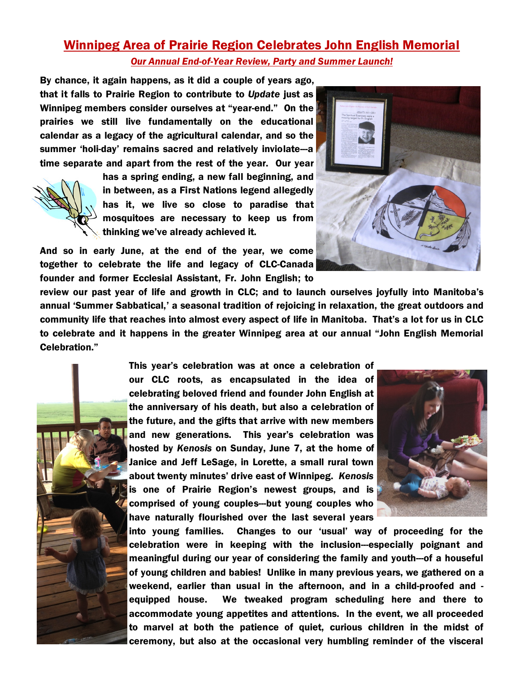## Winnipeg Area of Prairie Region Celebrates John English Memorial *Our Annual End-of-Year Review, Party and Summer Launch!*

By chance, it again happens, as it did a couple of years ago, that it falls to Prairie Region to contribute to *Update* just as Winnipeg members consider ourselves at "year-end." On the prairies we still live fundamentally on the educational calendar as a legacy of the agricultural calendar, and so the summer 'holi-day' remains sacred and relatively inviolate---a time separate and apart from the rest of the year. Our year



has a spring ending, a new fall beginning, and in between, as a First Nations legend allegedly has it, we live so close to paradise that mosquitoes are necessary to keep us from thinking we've already achieved it.

And so in early June, at the end of the year, we come together to celebrate the life and legacy of CLC-Canada founder and former Ecclesial Assistant, Fr. John English; to



review our past year of life and growth in CLC; and to launch ourselves joyfully into Manitoba's annual 'Summer Sabbatical,' a seasonal tradition of rejoicing in relaxation, the great outdoors and community life that reaches into almost every aspect of life in Manitoba. That's a lot for us in CLC to celebrate and it happens in the greater Winnipeg area at our annual "John English Memorial Celebration."



This year's celebration was at once a celebration of our CLC roots, as encapsulated in the idea of celebrating beloved friend and founder John English at the anniversary of his death, but also a celebration of the future, and the gifts that arrive with new members and new generations. This year's celebration was hosted by *Kenosis* on Sunday, June 7, at the home of Janice and Jeff LeSage, in Lorette, a small rural town about twenty minutes' drive east of Winnipeg. *Kenosis* is one of Prairie Region's newest groups, and is comprised of young couples---but young couples who have naturally flourished over the last several years



into young families. Changes to our 'usual' way of proceeding for the celebration were in keeping with the inclusion---especially poignant and meaningful during our year of considering the family and youth---of a houseful of young children and babies! Unlike in many previous years, we gathered on a weekend, earlier than usual in the afternoon, and in a child-proofed and equipped house. We tweaked program scheduling here and there to accommodate young appetites and attentions. In the event, we all proceeded to marvel at both the patience of quiet, curious children in the midst of ceremony, but also at the occasional very humbling reminder of the visceral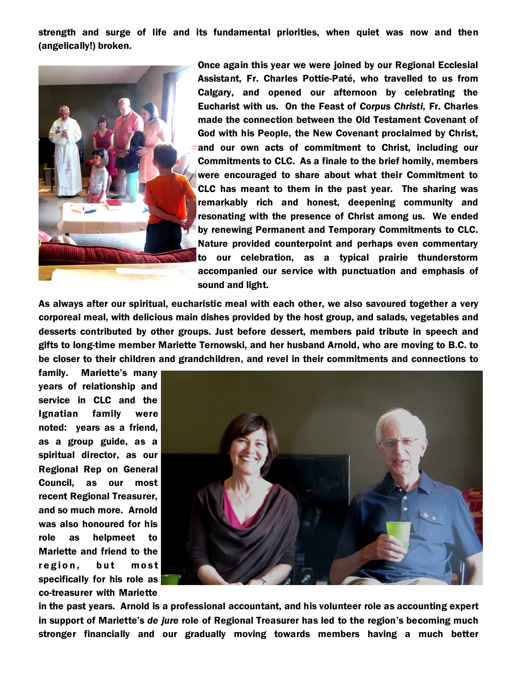strength and surge of life and its fundamental priorities, when quiet was now and then (angelically!) broken.



Once again this year we were joined by our Regional Ecclesial Assistant, Fr. Charles Pottie-Paté, who travelled to us from Calgary, and opened our afternoon by celebrating the Eucharist with us. On the Feast of *Corpus Christi*, Fr. Charles made the connection between the Old Testament Covenant of God with his People, the New Covenant proclaimed by Christ, and our own acts of commitment to Christ, including our Commitments to CLC. As a finale to the brief homily, members were encouraged to share about what their Commitment to CLC has meant to them in the past year. The sharing was remarkably rich and honest, deepening community and resonating with the presence of Christ among us. We ended by renewing Permanent and Temporary Commitments to CLC. Nature provided counterpoint and perhaps even commentary to our celebration, as a typical prairie thunderstorm accompanied our service with punctuation and emphasis of sound and light.

As always after our spiritual, eucharistic meal with each other, we also savoured together a very corporeal meal, with delicious main dishes provided by the host group, and salads, vegetables and desserts contributed by other groups. Just before dessert, members paid tribute in speech and gifts to long-time member Mariette Ternowski, and her husband Arnold, who are moving to B.C. to be closer to their children and grandchildren, and revel in their commitments and connections to

family. Mariette's many years of relationship and service in CLC and the Ignatian family were noted: years as a friend, as a group guide, as a spiritual director, as our Regional Rep on General Council, as our most recent Regional Treasurer, and so much more. Arnold was also honoured for his role as helpmeet to Mariette and friend to the region, but most specifically for his role as co-treasurer with Mariette



in the past years. Arnold is a professional accountant, and his volunteer role as accounting expert in support of Mariette's *de jure* role of Regional Treasurer has led to the region's becoming much stronger financially and our gradually moving towards members having a much better